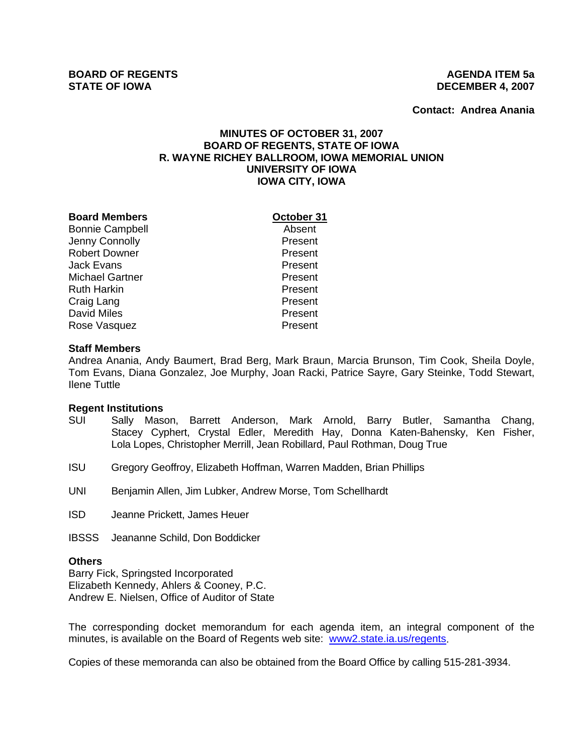**Contact: Andrea Anania**

# **MINUTES OF OCTOBER 31, 2007 BOARD OF REGENTS, STATE OF IOWA R. WAYNE RICHEY BALLROOM, IOWA MEMORIAL UNION UNIVERSITY OF IOWA IOWA CITY, IOWA**

| <b>Board Members</b>   |
|------------------------|
| <b>Bonnie Campbell</b> |
| Jenny Connolly         |
| <b>Robert Downer</b>   |
| Jack Evans             |
| Michael Gartner        |
| Ruth Harkin            |
| Craig Lang             |
| <b>David Miles</b>     |
| Rose Vasquez           |
|                        |

**Dctober 31** 

Absent Present **Present** Present Present Present Present Present **Present** 

#### **Staff Members**

Andrea Anania, Andy Baumert, Brad Berg, Mark Braun, Marcia Brunson, Tim Cook, Sheila Doyle, Tom Evans, Diana Gonzalez, Joe Murphy, Joan Racki, Patrice Sayre, Gary Steinke, Todd Stewart, Ilene Tuttle

#### **Regent Institutions**

- SUI Sally Mason, Barrett Anderson, Mark Arnold, Barry Butler, Samantha Chang, Stacey Cyphert, Crystal Edler, Meredith Hay, Donna Katen-Bahensky, Ken Fisher, Lola Lopes, Christopher Merrill, Jean Robillard, Paul Rothman, Doug True
- ISU Gregory Geoffroy, Elizabeth Hoffman, Warren Madden, Brian Phillips
- UNI Benjamin Allen, Jim Lubker, Andrew Morse, Tom Schellhardt
- ISD Jeanne Prickett, James Heuer
- IBSSS Jeananne Schild, Don Boddicker

#### **Others**

Barry Fick, Springsted Incorporated Elizabeth Kennedy, Ahlers & Cooney, P.C. Andrew E. Nielsen, Office of Auditor of State

The corresponding docket memorandum for each agenda item, an integral component of the minutes, is available on the Board of Regents web site: www2.state.ia.us/regents.

Copies of these memoranda can also be obtained from the Board Office by calling 515-281-3934.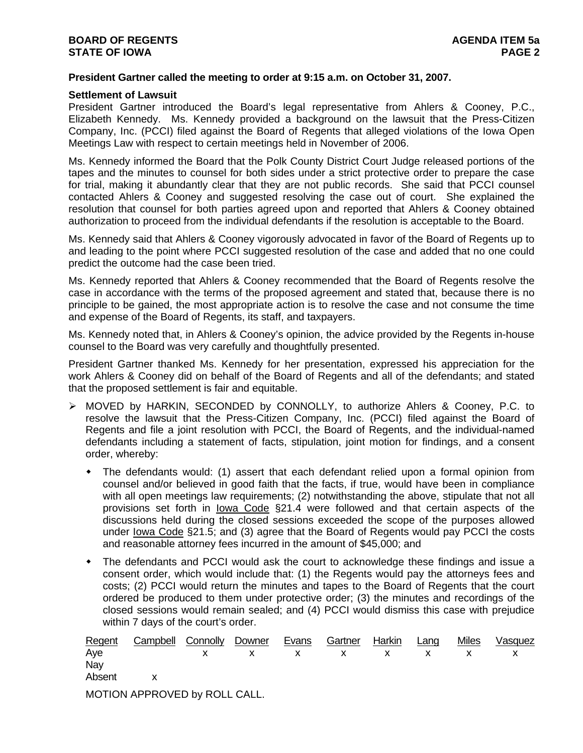## **President Gartner called the meeting to order at 9:15 a.m. on October 31, 2007.**

#### **Settlement of Lawsuit**

President Gartner introduced the Board's legal representative from Ahlers & Cooney, P.C., Elizabeth Kennedy. Ms. Kennedy provided a background on the lawsuit that the Press-Citizen Company, Inc. (PCCI) filed against the Board of Regents that alleged violations of the Iowa Open Meetings Law with respect to certain meetings held in November of 2006.

Ms. Kennedy informed the Board that the Polk County District Court Judge released portions of the tapes and the minutes to counsel for both sides under a strict protective order to prepare the case for trial, making it abundantly clear that they are not public records. She said that PCCI counsel contacted Ahlers & Cooney and suggested resolving the case out of court. She explained the resolution that counsel for both parties agreed upon and reported that Ahlers & Cooney obtained authorization to proceed from the individual defendants if the resolution is acceptable to the Board.

Ms. Kennedy said that Ahlers & Cooney vigorously advocated in favor of the Board of Regents up to and leading to the point where PCCI suggested resolution of the case and added that no one could predict the outcome had the case been tried.

Ms. Kennedy reported that Ahlers & Cooney recommended that the Board of Regents resolve the case in accordance with the terms of the proposed agreement and stated that, because there is no principle to be gained, the most appropriate action is to resolve the case and not consume the time and expense of the Board of Regents, its staff, and taxpayers.

Ms. Kennedy noted that, in Ahlers & Cooney's opinion, the advice provided by the Regents in-house counsel to the Board was very carefully and thoughtfully presented.

President Gartner thanked Ms. Kennedy for her presentation, expressed his appreciation for the work Ahlers & Cooney did on behalf of the Board of Regents and all of the defendants; and stated that the proposed settlement is fair and equitable.

- ¾ MOVED by HARKIN, SECONDED by CONNOLLY, to authorize Ahlers & Cooney, P.C. to resolve the lawsuit that the Press-Citizen Company, Inc. (PCCI) filed against the Board of Regents and file a joint resolution with PCCI, the Board of Regents, and the individual-named defendants including a statement of facts, stipulation, joint motion for findings, and a consent order, whereby:
	- The defendants would: (1) assert that each defendant relied upon a formal opinion from counsel and/or believed in good faith that the facts, if true, would have been in compliance with all open meetings law requirements; (2) notwithstanding the above, stipulate that not all provisions set forth in Iowa Code §21.4 were followed and that certain aspects of the discussions held during the closed sessions exceeded the scope of the purposes allowed under Iowa Code §21.5; and (3) agree that the Board of Regents would pay PCCI the costs and reasonable attorney fees incurred in the amount of \$45,000; and
	- The defendants and PCCI would ask the court to acknowledge these findings and issue a consent order, which would include that: (1) the Regents would pay the attorneys fees and costs; (2) PCCI would return the minutes and tapes to the Board of Regents that the court ordered be produced to them under protective order; (3) the minutes and recordings of the closed sessions would remain sealed; and (4) PCCI would dismiss this case with prejudice within 7 days of the court's order.

|        | Regent Campbell Connolly Downer Evans |  | Gartner Harkin | Lang | <b>Miles</b> | Vasquez |
|--------|---------------------------------------|--|----------------|------|--------------|---------|
| Aye    | x x x x x x x x                       |  |                |      |              |         |
| Nay    |                                       |  |                |      |              |         |
| Absent |                                       |  |                |      |              |         |
|        |                                       |  |                |      |              |         |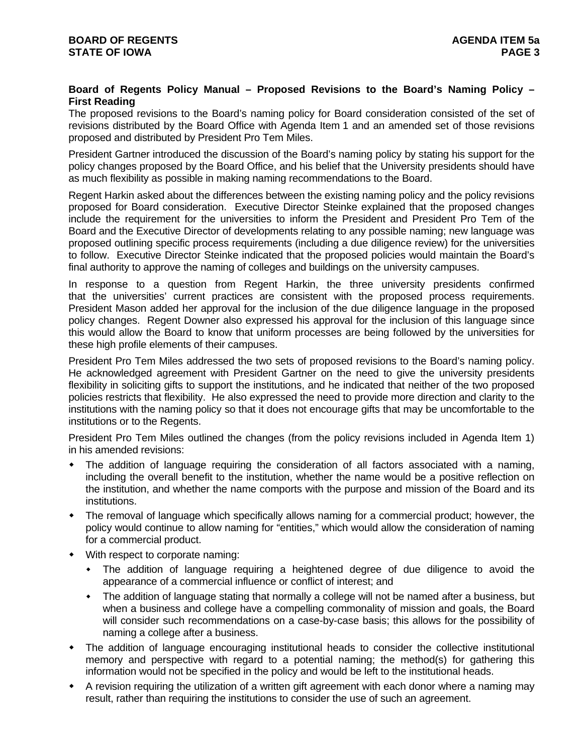# **Board of Regents Policy Manual – Proposed Revisions to the Board's Naming Policy – First Reading**

The proposed revisions to the Board's naming policy for Board consideration consisted of the set of revisions distributed by the Board Office with Agenda Item 1 and an amended set of those revisions proposed and distributed by President Pro Tem Miles.

President Gartner introduced the discussion of the Board's naming policy by stating his support for the policy changes proposed by the Board Office, and his belief that the University presidents should have as much flexibility as possible in making naming recommendations to the Board.

Regent Harkin asked about the differences between the existing naming policy and the policy revisions proposed for Board consideration. Executive Director Steinke explained that the proposed changes include the requirement for the universities to inform the President and President Pro Tem of the Board and the Executive Director of developments relating to any possible naming; new language was proposed outlining specific process requirements (including a due diligence review) for the universities to follow. Executive Director Steinke indicated that the proposed policies would maintain the Board's final authority to approve the naming of colleges and buildings on the university campuses.

In response to a question from Regent Harkin, the three university presidents confirmed that the universities' current practices are consistent with the proposed process requirements. President Mason added her approval for the inclusion of the due diligence language in the proposed policy changes. Regent Downer also expressed his approval for the inclusion of this language since this would allow the Board to know that uniform processes are being followed by the universities for these high profile elements of their campuses.

President Pro Tem Miles addressed the two sets of proposed revisions to the Board's naming policy. He acknowledged agreement with President Gartner on the need to give the university presidents flexibility in soliciting gifts to support the institutions, and he indicated that neither of the two proposed policies restricts that flexibility. He also expressed the need to provide more direction and clarity to the institutions with the naming policy so that it does not encourage gifts that may be uncomfortable to the institutions or to the Regents.

President Pro Tem Miles outlined the changes (from the policy revisions included in Agenda Item 1) in his amended revisions:

- The addition of language requiring the consideration of all factors associated with a naming, including the overall benefit to the institution, whether the name would be a positive reflection on the institution, and whether the name comports with the purpose and mission of the Board and its institutions.
- The removal of language which specifically allows naming for a commercial product; however, the policy would continue to allow naming for "entities," which would allow the consideration of naming for a commercial product.
- With respect to corporate naming:
	- The addition of language requiring a heightened degree of due diligence to avoid the appearance of a commercial influence or conflict of interest; and
	- The addition of language stating that normally a college will not be named after a business, but when a business and college have a compelling commonality of mission and goals, the Board will consider such recommendations on a case-by-case basis; this allows for the possibility of naming a college after a business.
- The addition of language encouraging institutional heads to consider the collective institutional memory and perspective with regard to a potential naming; the method(s) for gathering this information would not be specified in the policy and would be left to the institutional heads.
- A revision requiring the utilization of a written gift agreement with each donor where a naming may result, rather than requiring the institutions to consider the use of such an agreement.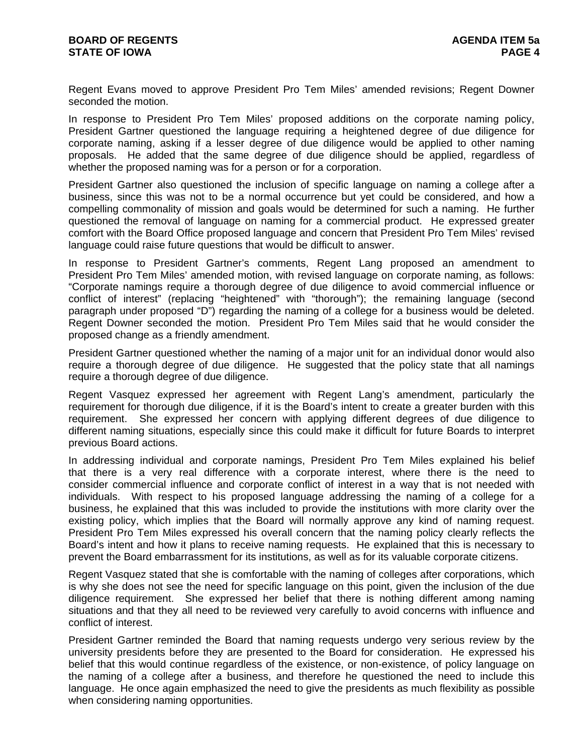Regent Evans moved to approve President Pro Tem Miles' amended revisions; Regent Downer seconded the motion.

In response to President Pro Tem Miles' proposed additions on the corporate naming policy, President Gartner questioned the language requiring a heightened degree of due diligence for corporate naming, asking if a lesser degree of due diligence would be applied to other naming proposals. He added that the same degree of due diligence should be applied, regardless of whether the proposed naming was for a person or for a corporation.

President Gartner also questioned the inclusion of specific language on naming a college after a business, since this was not to be a normal occurrence but yet could be considered, and how a compelling commonality of mission and goals would be determined for such a naming. He further questioned the removal of language on naming for a commercial product. He expressed greater comfort with the Board Office proposed language and concern that President Pro Tem Miles' revised language could raise future questions that would be difficult to answer.

In response to President Gartner's comments, Regent Lang proposed an amendment to President Pro Tem Miles' amended motion, with revised language on corporate naming, as follows: "Corporate namings require a thorough degree of due diligence to avoid commercial influence or conflict of interest" (replacing "heightened" with "thorough"); the remaining language (second paragraph under proposed "D") regarding the naming of a college for a business would be deleted. Regent Downer seconded the motion. President Pro Tem Miles said that he would consider the proposed change as a friendly amendment.

President Gartner questioned whether the naming of a major unit for an individual donor would also require a thorough degree of due diligence. He suggested that the policy state that all namings require a thorough degree of due diligence.

Regent Vasquez expressed her agreement with Regent Lang's amendment, particularly the requirement for thorough due diligence, if it is the Board's intent to create a greater burden with this requirement. She expressed her concern with applying different degrees of due diligence to different naming situations, especially since this could make it difficult for future Boards to interpret previous Board actions.

In addressing individual and corporate namings, President Pro Tem Miles explained his belief that there is a very real difference with a corporate interest, where there is the need to consider commercial influence and corporate conflict of interest in a way that is not needed with individuals. With respect to his proposed language addressing the naming of a college for a business, he explained that this was included to provide the institutions with more clarity over the existing policy, which implies that the Board will normally approve any kind of naming request. President Pro Tem Miles expressed his overall concern that the naming policy clearly reflects the Board's intent and how it plans to receive naming requests. He explained that this is necessary to prevent the Board embarrassment for its institutions, as well as for its valuable corporate citizens.

Regent Vasquez stated that she is comfortable with the naming of colleges after corporations, which is why she does not see the need for specific language on this point, given the inclusion of the due diligence requirement. She expressed her belief that there is nothing different among naming situations and that they all need to be reviewed very carefully to avoid concerns with influence and conflict of interest.

President Gartner reminded the Board that naming requests undergo very serious review by the university presidents before they are presented to the Board for consideration. He expressed his belief that this would continue regardless of the existence, or non-existence, of policy language on the naming of a college after a business, and therefore he questioned the need to include this language. He once again emphasized the need to give the presidents as much flexibility as possible when considering naming opportunities.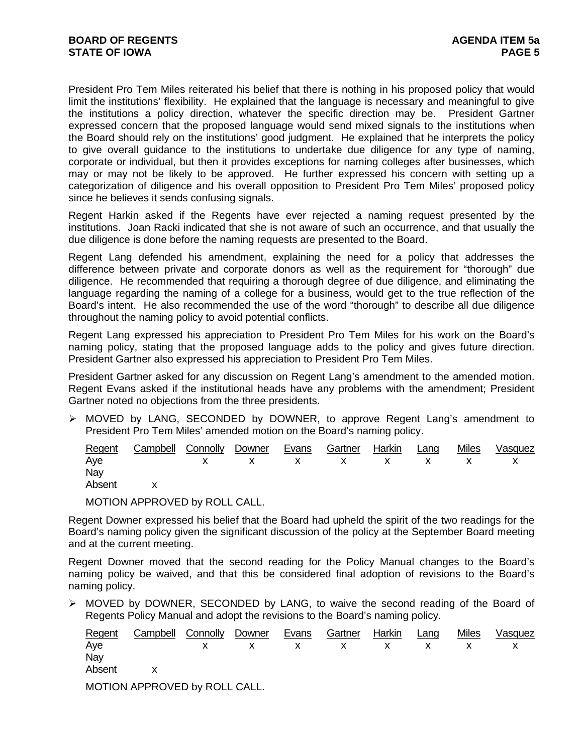President Pro Tem Miles reiterated his belief that there is nothing in his proposed policy that would limit the institutions' flexibility. He explained that the language is necessary and meaningful to give the institutions a policy direction, whatever the specific direction may be. President Gartner expressed concern that the proposed language would send mixed signals to the institutions when the Board should rely on the institutions' good judgment. He explained that he interprets the policy to give overall guidance to the institutions to undertake due diligence for any type of naming, corporate or individual, but then it provides exceptions for naming colleges after businesses, which may or may not be likely to be approved. He further expressed his concern with setting up a categorization of diligence and his overall opposition to President Pro Tem Miles' proposed policy since he believes it sends confusing signals.

Regent Harkin asked if the Regents have ever rejected a naming request presented by the institutions. Joan Racki indicated that she is not aware of such an occurrence, and that usually the due diligence is done before the naming requests are presented to the Board.

Regent Lang defended his amendment, explaining the need for a policy that addresses the difference between private and corporate donors as well as the requirement for "thorough" due diligence. He recommended that requiring a thorough degree of due diligence, and eliminating the language regarding the naming of a college for a business, would get to the true reflection of the Board's intent. He also recommended the use of the word "thorough" to describe all due diligence throughout the naming policy to avoid potential conflicts.

Regent Lang expressed his appreciation to President Pro Tem Miles for his work on the Board's naming policy, stating that the proposed language adds to the policy and gives future direction. President Gartner also expressed his appreciation to President Pro Tem Miles.

President Gartner asked for any discussion on Regent Lang's amendment to the amended motion. Regent Evans asked if the institutional heads have any problems with the amendment; President Gartner noted no objections from the three presidents.

¾ MOVED by LANG, SECONDED by DOWNER, to approve Regent Lang's amendment to President Pro Tem Miles' amended motion on the Board's naming policy.

|        | Regent Campbell Connolly Downer Evans Gartner Harkin Lang |  |  |  | Miles Vasquez |
|--------|-----------------------------------------------------------|--|--|--|---------------|
| Aye    | x x x x x x x x x                                         |  |  |  |               |
| Nay    |                                                           |  |  |  |               |
| Absent |                                                           |  |  |  |               |

MOTION APPROVED by ROLL CALL.

Regent Downer expressed his belief that the Board had upheld the spirit of the two readings for the Board's naming policy given the significant discussion of the policy at the September Board meeting and at the current meeting.

Regent Downer moved that the second reading for the Policy Manual changes to the Board's naming policy be waived, and that this be considered final adoption of revisions to the Board's naming policy.

 $\triangleright$  MOVED by DOWNER, SECONDED by LANG, to waive the second reading of the Board of Regents Policy Manual and adopt the revisions to the Board's naming policy.

| Regent | Campbell Connolly             | Downer | Evans | Gartner | Harkin | Lang | Miles | Vasquez |
|--------|-------------------------------|--------|-------|---------|--------|------|-------|---------|
| Aye    |                               |        |       |         |        |      |       |         |
| Nay    |                               |        |       |         |        |      |       |         |
| Absent |                               |        |       |         |        |      |       |         |
|        | MOTION APPROVED by ROLL CALL. |        |       |         |        |      |       |         |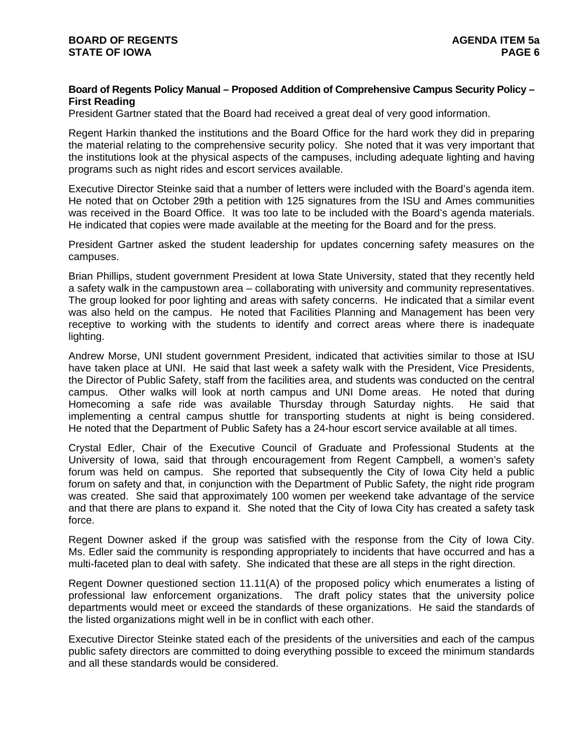# **Board of Regents Policy Manual – Proposed Addition of Comprehensive Campus Security Policy – First Reading**

President Gartner stated that the Board had received a great deal of very good information.

Regent Harkin thanked the institutions and the Board Office for the hard work they did in preparing the material relating to the comprehensive security policy. She noted that it was very important that the institutions look at the physical aspects of the campuses, including adequate lighting and having programs such as night rides and escort services available.

Executive Director Steinke said that a number of letters were included with the Board's agenda item. He noted that on October 29th a petition with 125 signatures from the ISU and Ames communities was received in the Board Office. It was too late to be included with the Board's agenda materials. He indicated that copies were made available at the meeting for the Board and for the press.

President Gartner asked the student leadership for updates concerning safety measures on the campuses.

Brian Phillips, student government President at Iowa State University, stated that they recently held a safety walk in the campustown area – collaborating with university and community representatives. The group looked for poor lighting and areas with safety concerns. He indicated that a similar event was also held on the campus. He noted that Facilities Planning and Management has been very receptive to working with the students to identify and correct areas where there is inadequate lighting.

Andrew Morse, UNI student government President, indicated that activities similar to those at ISU have taken place at UNI. He said that last week a safety walk with the President, Vice Presidents, the Director of Public Safety, staff from the facilities area, and students was conducted on the central campus. Other walks will look at north campus and UNI Dome areas. He noted that during Homecoming a safe ride was available Thursday through Saturday nights. He said that implementing a central campus shuttle for transporting students at night is being considered. He noted that the Department of Public Safety has a 24-hour escort service available at all times.

Crystal Edler, Chair of the Executive Council of Graduate and Professional Students at the University of Iowa, said that through encouragement from Regent Campbell, a women's safety forum was held on campus. She reported that subsequently the City of Iowa City held a public forum on safety and that, in conjunction with the Department of Public Safety, the night ride program was created. She said that approximately 100 women per weekend take advantage of the service and that there are plans to expand it. She noted that the City of Iowa City has created a safety task force.

Regent Downer asked if the group was satisfied with the response from the City of Iowa City. Ms. Edler said the community is responding appropriately to incidents that have occurred and has a multi-faceted plan to deal with safety. She indicated that these are all steps in the right direction.

Regent Downer questioned section 11.11(A) of the proposed policy which enumerates a listing of professional law enforcement organizations. The draft policy states that the university police departments would meet or exceed the standards of these organizations. He said the standards of the listed organizations might well in be in conflict with each other.

Executive Director Steinke stated each of the presidents of the universities and each of the campus public safety directors are committed to doing everything possible to exceed the minimum standards and all these standards would be considered.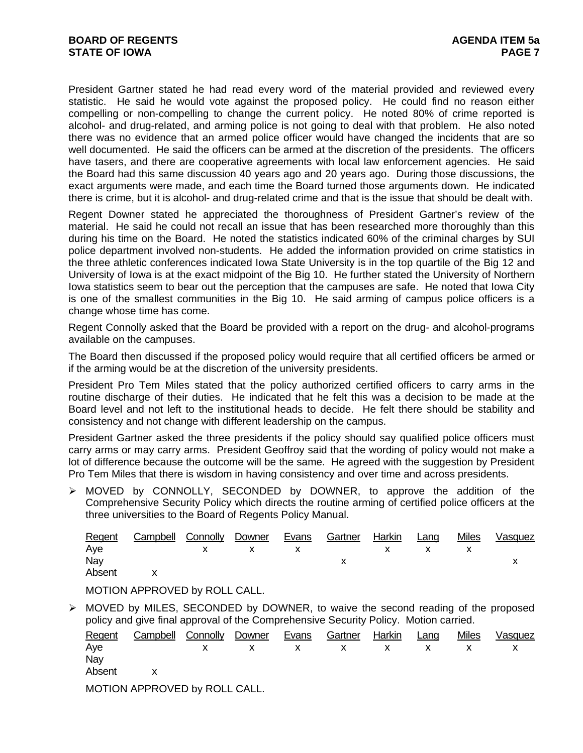President Gartner stated he had read every word of the material provided and reviewed every statistic. He said he would vote against the proposed policy. He could find no reason either compelling or non-compelling to change the current policy. He noted 80% of crime reported is alcohol- and drug-related, and arming police is not going to deal with that problem. He also noted there was no evidence that an armed police officer would have changed the incidents that are so well documented. He said the officers can be armed at the discretion of the presidents. The officers have tasers, and there are cooperative agreements with local law enforcement agencies. He said the Board had this same discussion 40 years ago and 20 years ago. During those discussions, the exact arguments were made, and each time the Board turned those arguments down. He indicated there is crime, but it is alcohol- and drug-related crime and that is the issue that should be dealt with.

Regent Downer stated he appreciated the thoroughness of President Gartner's review of the material. He said he could not recall an issue that has been researched more thoroughly than this during his time on the Board. He noted the statistics indicated 60% of the criminal charges by SUI police department involved non-students. He added the information provided on crime statistics in the three athletic conferences indicated Iowa State University is in the top quartile of the Big 12 and University of Iowa is at the exact midpoint of the Big 10. He further stated the University of Northern Iowa statistics seem to bear out the perception that the campuses are safe. He noted that Iowa City is one of the smallest communities in the Big 10. He said arming of campus police officers is a change whose time has come.

Regent Connolly asked that the Board be provided with a report on the drug- and alcohol-programs available on the campuses.

The Board then discussed if the proposed policy would require that all certified officers be armed or if the arming would be at the discretion of the university presidents.

President Pro Tem Miles stated that the policy authorized certified officers to carry arms in the routine discharge of their duties. He indicated that he felt this was a decision to be made at the Board level and not left to the institutional heads to decide. He felt there should be stability and consistency and not change with different leadership on the campus.

President Gartner asked the three presidents if the policy should say qualified police officers must carry arms or may carry arms. President Geoffroy said that the wording of policy would not make a lot of difference because the outcome will be the same. He agreed with the suggestion by President Pro Tem Miles that there is wisdom in having consistency and over time and across presidents.

¾ MOVED by CONNOLLY, SECONDED by DOWNER, to approve the addition of the Comprehensive Security Policy which directs the routine arming of certified police officers at the three universities to the Board of Regents Policy Manual.

|          | Regent Campbell Connolly Downer Evans Gartner Harkin Lang |  |  |  | Miles Vasquez |
|----------|-----------------------------------------------------------|--|--|--|---------------|
| Aye      | x x x x x x x                                             |  |  |  |               |
| Nay      |                                                           |  |  |  |               |
| Absent x |                                                           |  |  |  |               |

MOTION APPROVED by ROLL CALL.

 $\triangleright$  MOVED by MILES, SECONDED by DOWNER, to waive the second reading of the proposed policy and give final approval of the Comprehensive Security Policy. Motion carried.

| Regent | Campbell Connolly Downer |   | Evans | Gartner | Harkin | Lang | <b>Miles</b> | Vasquez |
|--------|--------------------------|---|-------|---------|--------|------|--------------|---------|
| Aye    |                          | X |       |         | X      |      |              |         |
| Nay    |                          |   |       |         |        |      |              |         |
| Absent |                          |   |       |         |        |      |              |         |
|        |                          |   |       |         |        |      |              |         |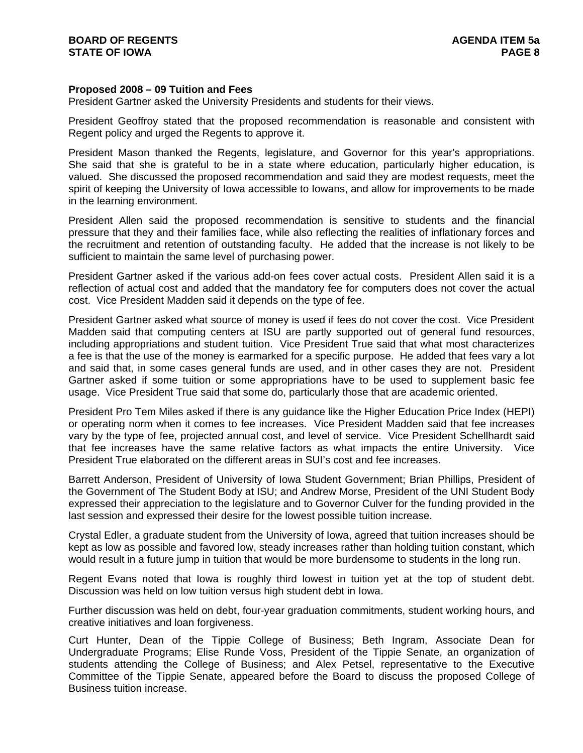## **Proposed 2008 – 09 Tuition and Fees**

President Gartner asked the University Presidents and students for their views.

President Geoffroy stated that the proposed recommendation is reasonable and consistent with Regent policy and urged the Regents to approve it.

President Mason thanked the Regents, legislature, and Governor for this year's appropriations. She said that she is grateful to be in a state where education, particularly higher education, is valued. She discussed the proposed recommendation and said they are modest requests, meet the spirit of keeping the University of Iowa accessible to Iowans, and allow for improvements to be made in the learning environment.

President Allen said the proposed recommendation is sensitive to students and the financial pressure that they and their families face, while also reflecting the realities of inflationary forces and the recruitment and retention of outstanding faculty. He added that the increase is not likely to be sufficient to maintain the same level of purchasing power.

President Gartner asked if the various add-on fees cover actual costs. President Allen said it is a reflection of actual cost and added that the mandatory fee for computers does not cover the actual cost. Vice President Madden said it depends on the type of fee.

President Gartner asked what source of money is used if fees do not cover the cost. Vice President Madden said that computing centers at ISU are partly supported out of general fund resources, including appropriations and student tuition. Vice President True said that what most characterizes a fee is that the use of the money is earmarked for a specific purpose. He added that fees vary a lot and said that, in some cases general funds are used, and in other cases they are not. President Gartner asked if some tuition or some appropriations have to be used to supplement basic fee usage. Vice President True said that some do, particularly those that are academic oriented.

President Pro Tem Miles asked if there is any guidance like the Higher Education Price Index (HEPI) or operating norm when it comes to fee increases. Vice President Madden said that fee increases vary by the type of fee, projected annual cost, and level of service. Vice President Schellhardt said that fee increases have the same relative factors as what impacts the entire University. Vice President True elaborated on the different areas in SUI's cost and fee increases.

Barrett Anderson, President of University of Iowa Student Government; Brian Phillips, President of the Government of The Student Body at ISU; and Andrew Morse, President of the UNI Student Body expressed their appreciation to the legislature and to Governor Culver for the funding provided in the last session and expressed their desire for the lowest possible tuition increase.

Crystal Edler, a graduate student from the University of Iowa, agreed that tuition increases should be kept as low as possible and favored low, steady increases rather than holding tuition constant, which would result in a future jump in tuition that would be more burdensome to students in the long run.

Regent Evans noted that Iowa is roughly third lowest in tuition yet at the top of student debt. Discussion was held on low tuition versus high student debt in Iowa.

Further discussion was held on debt, four-year graduation commitments, student working hours, and creative initiatives and loan forgiveness.

Curt Hunter, Dean of the Tippie College of Business; Beth Ingram, Associate Dean for Undergraduate Programs; Elise Runde Voss, President of the Tippie Senate, an organization of students attending the College of Business; and Alex Petsel, representative to the Executive Committee of the Tippie Senate, appeared before the Board to discuss the proposed College of Business tuition increase.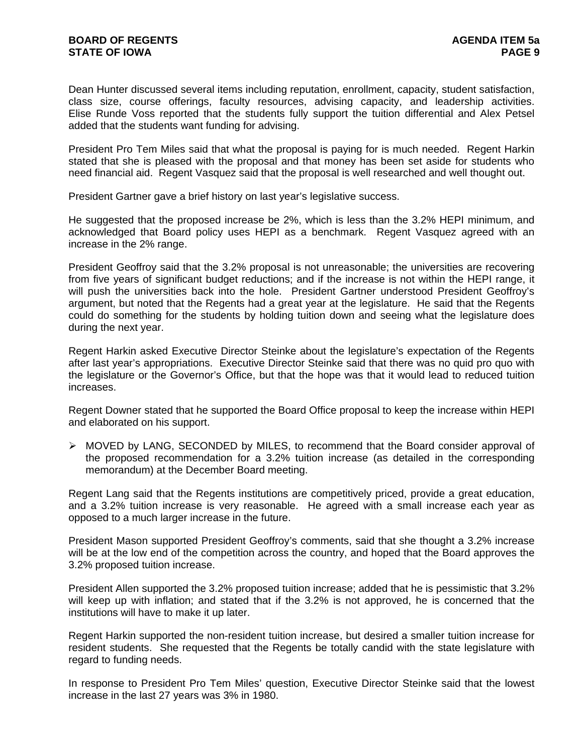Dean Hunter discussed several items including reputation, enrollment, capacity, student satisfaction, class size, course offerings, faculty resources, advising capacity, and leadership activities. Elise Runde Voss reported that the students fully support the tuition differential and Alex Petsel added that the students want funding for advising.

President Pro Tem Miles said that what the proposal is paying for is much needed. Regent Harkin stated that she is pleased with the proposal and that money has been set aside for students who need financial aid. Regent Vasquez said that the proposal is well researched and well thought out.

President Gartner gave a brief history on last year's legislative success.

He suggested that the proposed increase be 2%, which is less than the 3.2% HEPI minimum, and acknowledged that Board policy uses HEPI as a benchmark. Regent Vasquez agreed with an increase in the 2% range.

President Geoffroy said that the 3.2% proposal is not unreasonable; the universities are recovering from five years of significant budget reductions; and if the increase is not within the HEPI range, it will push the universities back into the hole. President Gartner understood President Geoffroy's argument, but noted that the Regents had a great year at the legislature. He said that the Regents could do something for the students by holding tuition down and seeing what the legislature does during the next year.

Regent Harkin asked Executive Director Steinke about the legislature's expectation of the Regents after last year's appropriations. Executive Director Steinke said that there was no quid pro quo with the legislature or the Governor's Office, but that the hope was that it would lead to reduced tuition increases.

Regent Downer stated that he supported the Board Office proposal to keep the increase within HEPI and elaborated on his support.

 $\triangleright$  MOVED by LANG, SECONDED by MILES, to recommend that the Board consider approval of the proposed recommendation for a 3.2% tuition increase (as detailed in the corresponding memorandum) at the December Board meeting.

Regent Lang said that the Regents institutions are competitively priced, provide a great education, and a 3.2% tuition increase is very reasonable. He agreed with a small increase each year as opposed to a much larger increase in the future.

President Mason supported President Geoffroy's comments, said that she thought a 3.2% increase will be at the low end of the competition across the country, and hoped that the Board approves the 3.2% proposed tuition increase.

President Allen supported the 3.2% proposed tuition increase; added that he is pessimistic that 3.2% will keep up with inflation; and stated that if the 3.2% is not approved, he is concerned that the institutions will have to make it up later.

Regent Harkin supported the non-resident tuition increase, but desired a smaller tuition increase for resident students. She requested that the Regents be totally candid with the state legislature with regard to funding needs.

In response to President Pro Tem Miles' question, Executive Director Steinke said that the lowest increase in the last 27 years was 3% in 1980.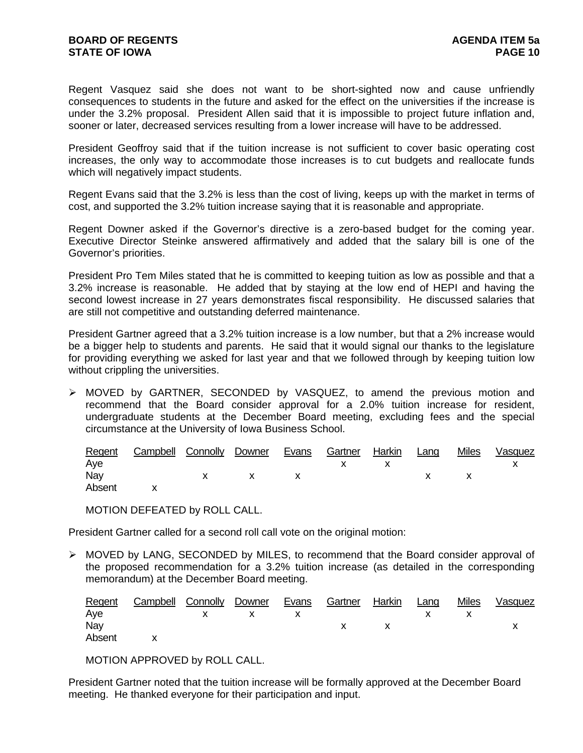Regent Vasquez said she does not want to be short-sighted now and cause unfriendly consequences to students in the future and asked for the effect on the universities if the increase is under the 3.2% proposal. President Allen said that it is impossible to project future inflation and, sooner or later, decreased services resulting from a lower increase will have to be addressed.

President Geoffroy said that if the tuition increase is not sufficient to cover basic operating cost increases, the only way to accommodate those increases is to cut budgets and reallocate funds which will negatively impact students.

Regent Evans said that the 3.2% is less than the cost of living, keeps up with the market in terms of cost, and supported the 3.2% tuition increase saying that it is reasonable and appropriate.

Regent Downer asked if the Governor's directive is a zero-based budget for the coming year. Executive Director Steinke answered affirmatively and added that the salary bill is one of the Governor's priorities.

President Pro Tem Miles stated that he is committed to keeping tuition as low as possible and that a 3.2% increase is reasonable. He added that by staying at the low end of HEPI and having the second lowest increase in 27 years demonstrates fiscal responsibility. He discussed salaries that are still not competitive and outstanding deferred maintenance.

President Gartner agreed that a 3.2% tuition increase is a low number, but that a 2% increase would be a bigger help to students and parents. He said that it would signal our thanks to the legislature for providing everything we asked for last year and that we followed through by keeping tuition low without crippling the universities.

 $\triangleright$  MOVED by GARTNER, SECONDED by VASQUEZ, to amend the previous motion and recommend that the Board consider approval for a 2.0% tuition increase for resident, undergraduate students at the December Board meeting, excluding fees and the special circumstance at the University of Iowa Business School.

|        | Regent Campbell Connolly Downer Evans Gartner Harkin Lang |           |                             |     |  | Miles Vasquez |
|--------|-----------------------------------------------------------|-----------|-----------------------------|-----|--|---------------|
| Aye    |                                                           |           |                             | X X |  |               |
| Nay    |                                                           | $X$ x $X$ | $\mathsf{X}$ x $\mathsf{X}$ |     |  |               |
| Absent |                                                           |           |                             |     |  |               |

MOTION DEFEATED by ROLL CALL.

President Gartner called for a second roll call vote on the original motion:

 $\triangleright$  MOVED by LANG, SECONDED by MILES, to recommend that the Board consider approval of the proposed recommendation for a 3.2% tuition increase (as detailed in the corresponding memorandum) at the December Board meeting.

|          | Regent Campbell Connolly Downer Evans Gartner Harkin Lang |  |                |  | Miles Vasquez |
|----------|-----------------------------------------------------------|--|----------------|--|---------------|
| Aye      | x x x x x x                                               |  |                |  |               |
| Nay      |                                                           |  | $\mathsf{X}$ x |  |               |
| Absent x |                                                           |  |                |  |               |

MOTION APPROVED by ROLL CALL.

President Gartner noted that the tuition increase will be formally approved at the December Board meeting. He thanked everyone for their participation and input.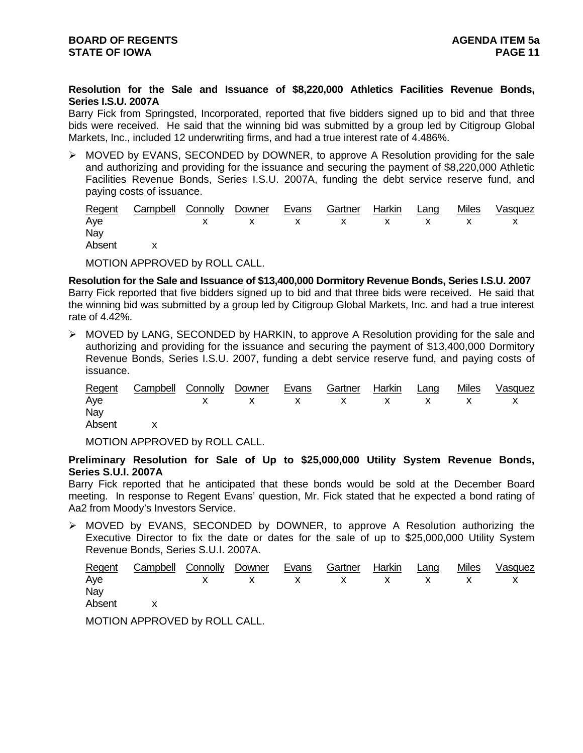**Resolution for the Sale and Issuance of \$8,220,000 Athletics Facilities Revenue Bonds, Series I.S.U. 2007A** 

Barry Fick from Springsted, Incorporated, reported that five bidders signed up to bid and that three bids were received. He said that the winning bid was submitted by a group led by Citigroup Global Markets, Inc., included 12 underwriting firms, and had a true interest rate of 4.486%.

¾ MOVED by EVANS, SECONDED by DOWNER, to approve A Resolution providing for the sale and authorizing and providing for the issuance and securing the payment of \$8,220,000 Athletic Facilities Revenue Bonds, Series I.S.U. 2007A, funding the debt service reserve fund, and paying costs of issuance.

|          | <u> Regent Campbell Connolly Downer Evans Gartner Harkin Lang</u> |  |  |  | Miles Vasquez |
|----------|-------------------------------------------------------------------|--|--|--|---------------|
| Aye      | x x x x x x x x x                                                 |  |  |  |               |
| Nay      |                                                                   |  |  |  |               |
| Absent x |                                                                   |  |  |  |               |

MOTION APPROVED by ROLL CALL.

**Resolution for the Sale and Issuance of \$13,400,000 Dormitory Revenue Bonds, Series I.S.U. 2007**  Barry Fick reported that five bidders signed up to bid and that three bids were received. He said that the winning bid was submitted by a group led by Citigroup Global Markets, Inc. and had a true interest rate of 4.42%.

¾ MOVED by LANG, SECONDED by HARKIN, to approve A Resolution providing for the sale and authorizing and providing for the issuance and securing the payment of \$13,400,000 Dormitory Revenue Bonds, Series I.S.U. 2007, funding a debt service reserve fund, and paying costs of issuance.

|          | Regent Campbell Connolly Downer Evans Gartner Harkin Lang |  |  |  | Miles Vasquez |
|----------|-----------------------------------------------------------|--|--|--|---------------|
| Aye      | X X X X X X X X X X                                       |  |  |  |               |
| Nay      |                                                           |  |  |  |               |
| Absent x |                                                           |  |  |  |               |

MOTION APPROVED by ROLL CALL.

**Preliminary Resolution for Sale of Up to \$25,000,000 Utility System Revenue Bonds, Series S.U.I. 2007A**

Barry Fick reported that he anticipated that these bonds would be sold at the December Board meeting. In response to Regent Evans' question, Mr. Fick stated that he expected a bond rating of Aa2 from Moody's Investors Service.

 $\triangleright$  MOVED by EVANS, SECONDED by DOWNER, to approve A Resolution authorizing the Executive Director to fix the date or dates for the sale of up to \$25,000,000 Utility System Revenue Bonds, Series S.U.I. 2007A.

|          | Regent Campbell Connolly Downer Evans Gartner Harkin Lang Miles Vasquez |  |  |  |  |
|----------|-------------------------------------------------------------------------|--|--|--|--|
| Aye      | X X X X X X X X X                                                       |  |  |  |  |
| Nay      |                                                                         |  |  |  |  |
| Absent x |                                                                         |  |  |  |  |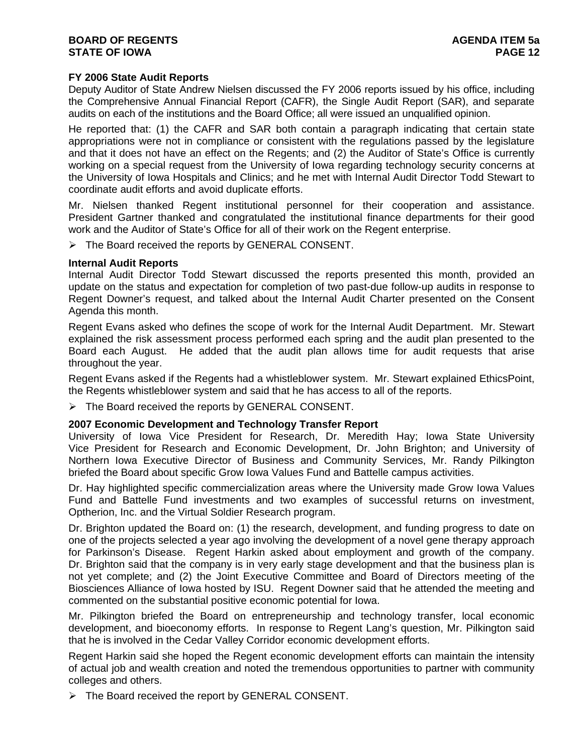# **FY 2006 State Audit Reports**

Deputy Auditor of State Andrew Nielsen discussed the FY 2006 reports issued by his office, including the Comprehensive Annual Financial Report (CAFR), the Single Audit Report (SAR), and separate audits on each of the institutions and the Board Office; all were issued an unqualified opinion.

He reported that: (1) the CAFR and SAR both contain a paragraph indicating that certain state appropriations were not in compliance or consistent with the regulations passed by the legislature and that it does not have an effect on the Regents; and (2) the Auditor of State's Office is currently working on a special request from the University of Iowa regarding technology security concerns at the University of Iowa Hospitals and Clinics; and he met with Internal Audit Director Todd Stewart to coordinate audit efforts and avoid duplicate efforts.

Mr. Nielsen thanked Regent institutional personnel for their cooperation and assistance. President Gartner thanked and congratulated the institutional finance departments for their good work and the Auditor of State's Office for all of their work on the Regent enterprise.

 $\triangleright$  The Board received the reports by GENERAL CONSENT.

#### **Internal Audit Reports**

Internal Audit Director Todd Stewart discussed the reports presented this month, provided an update on the status and expectation for completion of two past-due follow-up audits in response to Regent Downer's request, and talked about the Internal Audit Charter presented on the Consent Agenda this month.

Regent Evans asked who defines the scope of work for the Internal Audit Department. Mr. Stewart explained the risk assessment process performed each spring and the audit plan presented to the Board each August. He added that the audit plan allows time for audit requests that arise throughout the year.

Regent Evans asked if the Regents had a whistleblower system. Mr. Stewart explained EthicsPoint, the Regents whistleblower system and said that he has access to all of the reports.

¾ The Board received the reports by GENERAL CONSENT.

#### **2007 Economic Development and Technology Transfer Report**

University of Iowa Vice President for Research, Dr. Meredith Hay; Iowa State University Vice President for Research and Economic Development, Dr. John Brighton; and University of Northern Iowa Executive Director of Business and Community Services, Mr. Randy Pilkington briefed the Board about specific Grow Iowa Values Fund and Battelle campus activities.

Dr. Hay highlighted specific commercialization areas where the University made Grow Iowa Values Fund and Battelle Fund investments and two examples of successful returns on investment, Optherion, Inc. and the Virtual Soldier Research program.

Dr. Brighton updated the Board on: (1) the research, development, and funding progress to date on one of the projects selected a year ago involving the development of a novel gene therapy approach for Parkinson's Disease. Regent Harkin asked about employment and growth of the company. Dr. Brighton said that the company is in very early stage development and that the business plan is not yet complete; and (2) the Joint Executive Committee and Board of Directors meeting of the Biosciences Alliance of Iowa hosted by ISU. Regent Downer said that he attended the meeting and commented on the substantial positive economic potential for Iowa.

Mr. Pilkington briefed the Board on entrepreneurship and technology transfer, local economic development, and bioeconomy efforts. In response to Regent Lang's question, Mr. Pilkington said that he is involved in the Cedar Valley Corridor economic development efforts.

Regent Harkin said she hoped the Regent economic development efforts can maintain the intensity of actual job and wealth creation and noted the tremendous opportunities to partner with community colleges and others.

¾ The Board received the report by GENERAL CONSENT.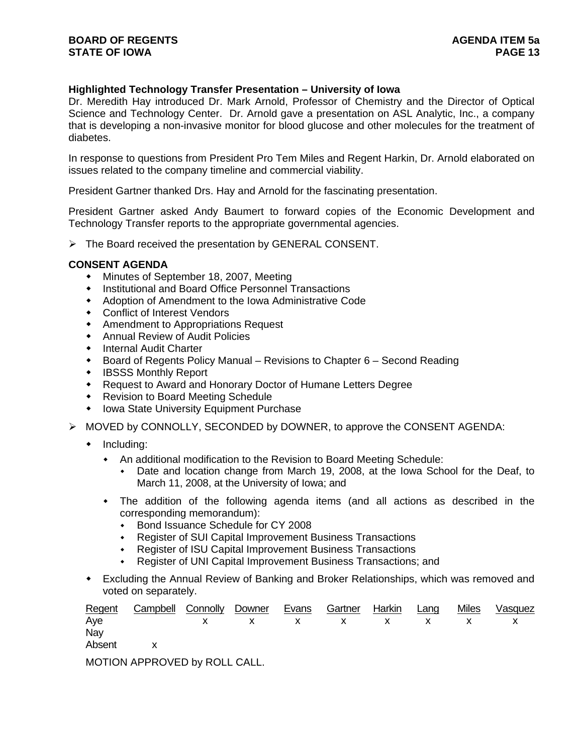# **Highlighted Technology Transfer Presentation – University of Iowa**

Dr. Meredith Hay introduced Dr. Mark Arnold, Professor of Chemistry and the Director of Optical Science and Technology Center. Dr. Arnold gave a presentation on ASL Analytic, Inc., a company that is developing a non-invasive monitor for blood glucose and other molecules for the treatment of diabetes.

In response to questions from President Pro Tem Miles and Regent Harkin, Dr. Arnold elaborated on issues related to the company timeline and commercial viability.

President Gartner thanked Drs. Hay and Arnold for the fascinating presentation.

President Gartner asked Andy Baumert to forward copies of the Economic Development and Technology Transfer reports to the appropriate governmental agencies.

¾ The Board received the presentation by GENERAL CONSENT.

## **CONSENT AGENDA**

- Minutes of September 18, 2007, Meeting
- Institutional and Board Office Personnel Transactions
- Adoption of Amendment to the Iowa Administrative Code
- Conflict of Interest Vendors
- Amendment to Appropriations Request
- Annual Review of Audit Policies
- **+** Internal Audit Charter
- Board of Regents Policy Manual Revisions to Chapter 6 Second Reading
- IBSSS Monthly Report
- Request to Award and Honorary Doctor of Humane Letters Degree
- Revision to Board Meeting Schedule
- Iowa State University Equipment Purchase
- ¾ MOVED by CONNOLLY, SECONDED by DOWNER, to approve the CONSENT AGENDA:
	- $\bullet$  Including:
		- An additional modification to the Revision to Board Meeting Schedule:
			- Date and location change from March 19, 2008, at the Iowa School for the Deaf, to March 11, 2008, at the University of Iowa; and
		- The addition of the following agenda items (and all actions as described in the corresponding memorandum):
			- Bond Issuance Schedule for CY 2008
			- Register of SUI Capital Improvement Business Transactions
			- Register of ISU Capital Improvement Business Transactions
			- Register of UNI Capital Improvement Business Transactions; and
	- Excluding the Annual Review of Banking and Broker Relationships, which was removed and voted on separately.

|          | Regent Campbell Connolly Downer Evans Gartner Harkin Lang |  |  |  | Miles Vasquez |
|----------|-----------------------------------------------------------|--|--|--|---------------|
| Aye      | X X X X X X X X X                                         |  |  |  |               |
| Nay      |                                                           |  |  |  |               |
| Absent x |                                                           |  |  |  |               |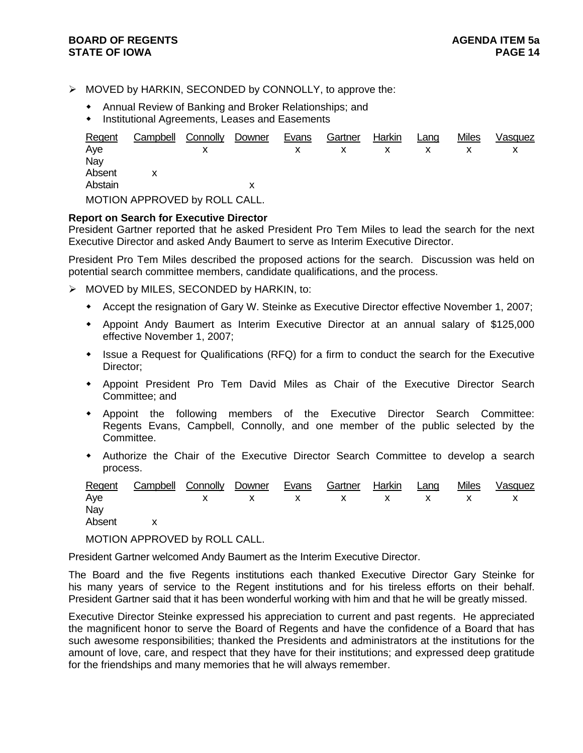- ¾ MOVED by HARKIN, SECONDED by CONNOLLY, to approve the:
	- Annual Review of Banking and Broker Relationships; and
	- **Institutional Agreements, Leases and Easements**

| Regent  | Campbell                      | Connolly | Downer | Evans | Gartner | Harkin | Lang | <b>Miles</b> | Vasquez |
|---------|-------------------------------|----------|--------|-------|---------|--------|------|--------------|---------|
| Aye     |                               |          |        |       |         |        |      |              |         |
| Nav     |                               |          |        |       |         |        |      |              |         |
| Absent  |                               |          |        |       |         |        |      |              |         |
| Abstain |                               |          |        |       |         |        |      |              |         |
|         | MOTION APPROVED by ROLL CALL. |          |        |       |         |        |      |              |         |

## **Report on Search for Executive Director**

President Gartner reported that he asked President Pro Tem Miles to lead the search for the next Executive Director and asked Andy Baumert to serve as Interim Executive Director.

President Pro Tem Miles described the proposed actions for the search. Discussion was held on potential search committee members, candidate qualifications, and the process.

- $\triangleright$  MOVED by MILES, SECONDED by HARKIN, to:
	- Accept the resignation of Gary W. Steinke as Executive Director effective November 1, 2007;
	- Appoint Andy Baumert as Interim Executive Director at an annual salary of \$125,000 effective November 1, 2007;
	- Issue a Request for Qualifications (RFQ) for a firm to conduct the search for the Executive Director;
	- Appoint President Pro Tem David Miles as Chair of the Executive Director Search Committee; and
	- Appoint the following members of the Executive Director Search Committee: Regents Evans, Campbell, Connolly, and one member of the public selected by the Committee.
	- Authorize the Chair of the Executive Director Search Committee to develop a search process.

|          | Regent Campbell Connolly Downer Evans Gartner Harkin Lang |  |  |  | Miles Vasquez |
|----------|-----------------------------------------------------------|--|--|--|---------------|
| Aye      | X X X X X X X X X                                         |  |  |  |               |
| Nay      |                                                           |  |  |  |               |
| Absent x |                                                           |  |  |  |               |

MOTION APPROVED by ROLL CALL.

President Gartner welcomed Andy Baumert as the Interim Executive Director.

The Board and the five Regents institutions each thanked Executive Director Gary Steinke for his many years of service to the Regent institutions and for his tireless efforts on their behalf. President Gartner said that it has been wonderful working with him and that he will be greatly missed.

Executive Director Steinke expressed his appreciation to current and past regents. He appreciated the magnificent honor to serve the Board of Regents and have the confidence of a Board that has such awesome responsibilities; thanked the Presidents and administrators at the institutions for the amount of love, care, and respect that they have for their institutions; and expressed deep gratitude for the friendships and many memories that he will always remember.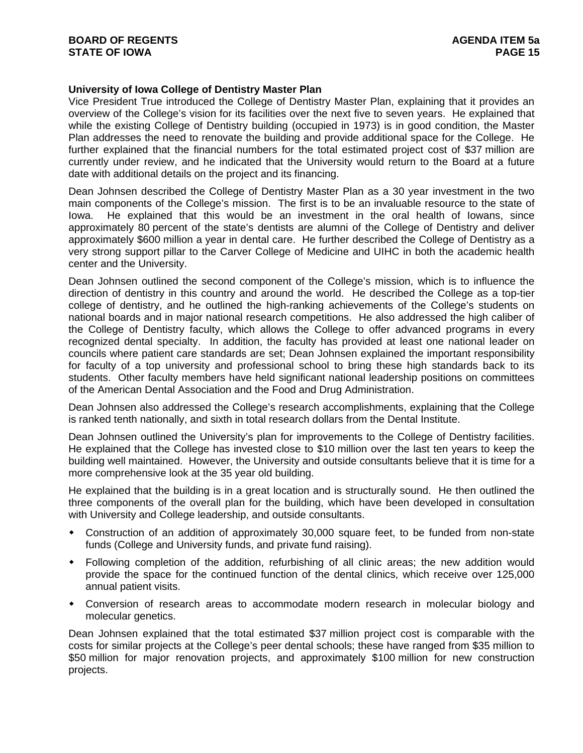# **University of Iowa College of Dentistry Master Plan**

Vice President True introduced the College of Dentistry Master Plan, explaining that it provides an overview of the College's vision for its facilities over the next five to seven years. He explained that while the existing College of Dentistry building (occupied in 1973) is in good condition, the Master Plan addresses the need to renovate the building and provide additional space for the College. He further explained that the financial numbers for the total estimated project cost of \$37 million are currently under review, and he indicated that the University would return to the Board at a future date with additional details on the project and its financing.

Dean Johnsen described the College of Dentistry Master Plan as a 30 year investment in the two main components of the College's mission. The first is to be an invaluable resource to the state of Iowa. He explained that this would be an investment in the oral health of Iowans, since approximately 80 percent of the state's dentists are alumni of the College of Dentistry and deliver approximately \$600 million a year in dental care. He further described the College of Dentistry as a very strong support pillar to the Carver College of Medicine and UIHC in both the academic health center and the University.

Dean Johnsen outlined the second component of the College's mission, which is to influence the direction of dentistry in this country and around the world. He described the College as a top-tier college of dentistry, and he outlined the high-ranking achievements of the College's students on national boards and in major national research competitions. He also addressed the high caliber of the College of Dentistry faculty, which allows the College to offer advanced programs in every recognized dental specialty. In addition, the faculty has provided at least one national leader on councils where patient care standards are set; Dean Johnsen explained the important responsibility for faculty of a top university and professional school to bring these high standards back to its students. Other faculty members have held significant national leadership positions on committees of the American Dental Association and the Food and Drug Administration.

Dean Johnsen also addressed the College's research accomplishments, explaining that the College is ranked tenth nationally, and sixth in total research dollars from the Dental Institute.

Dean Johnsen outlined the University's plan for improvements to the College of Dentistry facilities. He explained that the College has invested close to \$10 million over the last ten years to keep the building well maintained. However, the University and outside consultants believe that it is time for a more comprehensive look at the 35 year old building.

He explained that the building is in a great location and is structurally sound. He then outlined the three components of the overall plan for the building, which have been developed in consultation with University and College leadership, and outside consultants.

- Construction of an addition of approximately 30,000 square feet, to be funded from non-state funds (College and University funds, and private fund raising).
- Following completion of the addition, refurbishing of all clinic areas; the new addition would provide the space for the continued function of the dental clinics, which receive over 125,000 annual patient visits.
- Conversion of research areas to accommodate modern research in molecular biology and molecular genetics.

Dean Johnsen explained that the total estimated \$37 million project cost is comparable with the costs for similar projects at the College's peer dental schools; these have ranged from \$35 million to \$50 million for major renovation projects, and approximately \$100 million for new construction projects.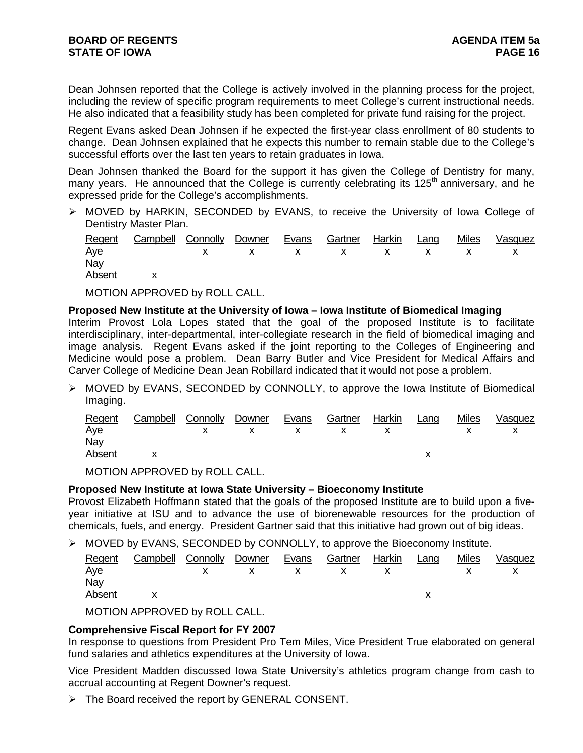Dean Johnsen reported that the College is actively involved in the planning process for the project, including the review of specific program requirements to meet College's current instructional needs. He also indicated that a feasibility study has been completed for private fund raising for the project.

Regent Evans asked Dean Johnsen if he expected the first-year class enrollment of 80 students to change. Dean Johnsen explained that he expects this number to remain stable due to the College's successful efforts over the last ten years to retain graduates in Iowa.

Dean Johnsen thanked the Board for the support it has given the College of Dentistry for many, many years. He announced that the College is currently celebrating its  $125<sup>th</sup>$  anniversary, and he expressed pride for the College's accomplishments.

¾ MOVED by HARKIN, SECONDED by EVANS, to receive the University of Iowa College of Dentistry Master Plan.

|        | Regent Campbell Connolly Downer Evans Gartner Harkin Lang |  |  |  | Miles | Vasquez |
|--------|-----------------------------------------------------------|--|--|--|-------|---------|
| Ave    | x x x x x x x x x                                         |  |  |  |       |         |
| Nav    |                                                           |  |  |  |       |         |
| Absent |                                                           |  |  |  |       |         |

MOTION APPROVED by ROLL CALL.

## **Proposed New Institute at the University of Iowa – Iowa Institute of Biomedical Imaging**

Interim Provost Lola Lopes stated that the goal of the proposed Institute is to facilitate interdisciplinary, inter-departmental, inter-collegiate research in the field of biomedical imaging and image analysis. Regent Evans asked if the joint reporting to the Colleges of Engineering and Medicine would pose a problem. Dean Barry Butler and Vice President for Medical Affairs and Carver College of Medicine Dean Jean Robillard indicated that it would not pose a problem.

¾ MOVED by EVANS, SECONDED by CONNOLLY, to approve the Iowa Institute of Biomedical Imaging.

| Regent<br>Aye | <b>Campbell Connolly Downer</b> | $\mathsf{X}$ | $\mathsf{X}$ | <u>Evans</u><br>$\mathsf{X}$ | Gartner Harkin<br>$\mathsf{X}$ | $\mathsf{X}$ | Lang | <b>Miles</b> | Vasquez |
|---------------|---------------------------------|--------------|--------------|------------------------------|--------------------------------|--------------|------|--------------|---------|
| Nav           |                                 |              |              |                              |                                |              |      |              |         |
| Absent        |                                 |              |              |                              |                                |              |      |              |         |

MOTION APPROVED by ROLL CALL.

## **Proposed New Institute at Iowa State University – Bioeconomy Institute**

Provost Elizabeth Hoffmann stated that the goals of the proposed Institute are to build upon a fiveyear initiative at ISU and to advance the use of biorenewable resources for the production of chemicals, fuels, and energy. President Gartner said that this initiative had grown out of big ideas.

¾ MOVED by EVANS, SECONDED by CONNOLLY, to approve the Bioeconomy Institute.

| Regent | Campbell Connolly Downer |              |              | Evans        | Gartner                       | Harkin                                                                                                                                                                                                                                                                                           | Lang | <b>Miles</b> | Vasquez |
|--------|--------------------------|--------------|--------------|--------------|-------------------------------|--------------------------------------------------------------------------------------------------------------------------------------------------------------------------------------------------------------------------------------------------------------------------------------------------|------|--------------|---------|
| Ave    |                          | $\mathsf{X}$ | $\mathsf{X}$ | $\mathsf{X}$ | $\mathsf{X}$ and $\mathsf{X}$ | $\mathsf{X}$ and $\mathsf{X}$ and $\mathsf{X}$ are $\mathsf{X}$ and $\mathsf{X}$ are $\mathsf{X}$ and $\mathsf{X}$ are $\mathsf{X}$ and $\mathsf{X}$ are $\mathsf{X}$ and $\mathsf{X}$ are $\mathsf{X}$ and $\mathsf{X}$ are $\mathsf{X}$ and $\mathsf{X}$ are $\mathsf{X}$ and $\mathsf{X}$ are |      |              |         |
| Nav    |                          |              |              |              |                               |                                                                                                                                                                                                                                                                                                  |      |              |         |
| Absent |                          |              |              |              |                               |                                                                                                                                                                                                                                                                                                  |      |              |         |
|        |                          |              |              |              |                               |                                                                                                                                                                                                                                                                                                  |      |              |         |

MOTION APPROVED by ROLL CALL.

# **Comprehensive Fiscal Report for FY 2007**

In response to questions from President Pro Tem Miles, Vice President True elaborated on general fund salaries and athletics expenditures at the University of Iowa.

Vice President Madden discussed Iowa State University's athletics program change from cash to accrual accounting at Regent Downer's request.

 $\triangleright$  The Board received the report by GENERAL CONSENT.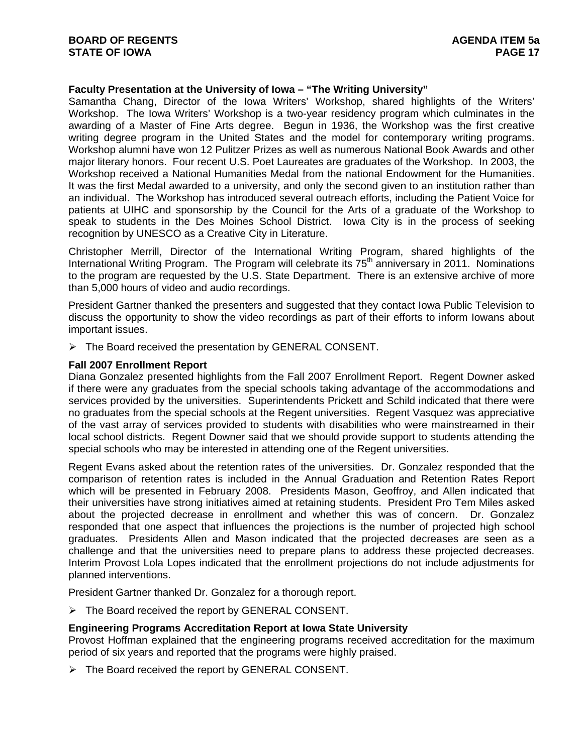# **Faculty Presentation at the University of Iowa – "The Writing University"**

Samantha Chang, Director of the Iowa Writers' Workshop, shared highlights of the Writers' Workshop. The Iowa Writers' Workshop is a two-year residency program which culminates in the awarding of a Master of Fine Arts degree. Begun in 1936, the Workshop was the first creative writing degree program in the United States and the model for contemporary writing programs. Workshop alumni have won 12 Pulitzer Prizes as well as numerous National Book Awards and other major literary honors. Four recent U.S. Poet Laureates are graduates of the Workshop. In 2003, the Workshop received a National Humanities Medal from the national Endowment for the Humanities. It was the first Medal awarded to a university, and only the second given to an institution rather than an individual. The Workshop has introduced several outreach efforts, including the Patient Voice for patients at UIHC and sponsorship by the Council for the Arts of a graduate of the Workshop to speak to students in the Des Moines School District. Iowa City is in the process of seeking recognition by UNESCO as a Creative City in Literature.

Christopher Merrill, Director of the International Writing Program, shared highlights of the International Writing Program. The Program will celebrate its 75<sup>th</sup> anniversary in 2011. Nominations to the program are requested by the U.S. State Department. There is an extensive archive of more than 5,000 hours of video and audio recordings.

President Gartner thanked the presenters and suggested that they contact Iowa Public Television to discuss the opportunity to show the video recordings as part of their efforts to inform Iowans about important issues.

 $\triangleright$  The Board received the presentation by GENERAL CONSENT.

#### **Fall 2007 Enrollment Report**

Diana Gonzalez presented highlights from the Fall 2007 Enrollment Report. Regent Downer asked if there were any graduates from the special schools taking advantage of the accommodations and services provided by the universities. Superintendents Prickett and Schild indicated that there were no graduates from the special schools at the Regent universities. Regent Vasquez was appreciative of the vast array of services provided to students with disabilities who were mainstreamed in their local school districts. Regent Downer said that we should provide support to students attending the special schools who may be interested in attending one of the Regent universities.

Regent Evans asked about the retention rates of the universities. Dr. Gonzalez responded that the comparison of retention rates is included in the Annual Graduation and Retention Rates Report which will be presented in February 2008. Presidents Mason, Geoffroy, and Allen indicated that their universities have strong initiatives aimed at retaining students. President Pro Tem Miles asked about the projected decrease in enrollment and whether this was of concern. Dr. Gonzalez responded that one aspect that influences the projections is the number of projected high school graduates. Presidents Allen and Mason indicated that the projected decreases are seen as a challenge and that the universities need to prepare plans to address these projected decreases. Interim Provost Lola Lopes indicated that the enrollment projections do not include adjustments for planned interventions.

President Gartner thanked Dr. Gonzalez for a thorough report.

 $\triangleright$  The Board received the report by GENERAL CONSENT.

## **Engineering Programs Accreditation Report at Iowa State University**

Provost Hoffman explained that the engineering programs received accreditation for the maximum period of six years and reported that the programs were highly praised.

¾ The Board received the report by GENERAL CONSENT.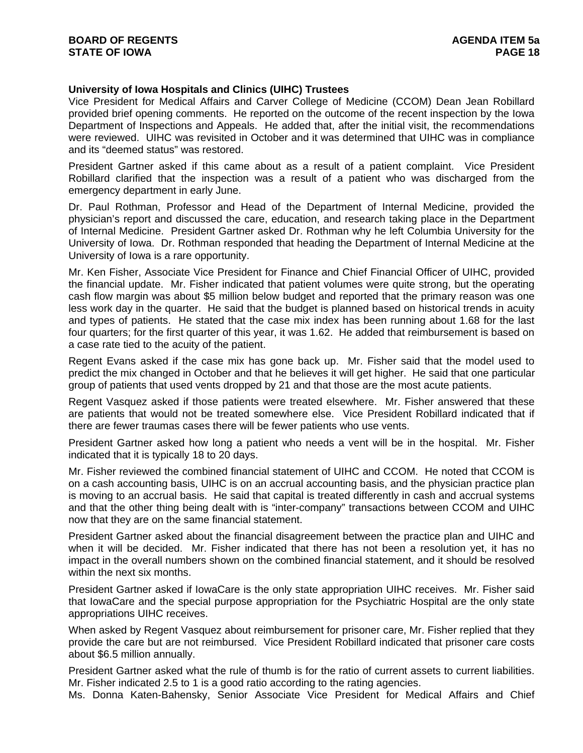# **University of Iowa Hospitals and Clinics (UIHC) Trustees**

Vice President for Medical Affairs and Carver College of Medicine (CCOM) Dean Jean Robillard provided brief opening comments. He reported on the outcome of the recent inspection by the Iowa Department of Inspections and Appeals. He added that, after the initial visit, the recommendations were reviewed. UIHC was revisited in October and it was determined that UIHC was in compliance and its "deemed status" was restored.

President Gartner asked if this came about as a result of a patient complaint. Vice President Robillard clarified that the inspection was a result of a patient who was discharged from the emergency department in early June.

Dr. Paul Rothman, Professor and Head of the Department of Internal Medicine, provided the physician's report and discussed the care, education, and research taking place in the Department of Internal Medicine. President Gartner asked Dr. Rothman why he left Columbia University for the University of Iowa. Dr. Rothman responded that heading the Department of Internal Medicine at the University of Iowa is a rare opportunity.

Mr. Ken Fisher, Associate Vice President for Finance and Chief Financial Officer of UIHC, provided the financial update. Mr. Fisher indicated that patient volumes were quite strong, but the operating cash flow margin was about \$5 million below budget and reported that the primary reason was one less work day in the quarter. He said that the budget is planned based on historical trends in acuity and types of patients. He stated that the case mix index has been running about 1.68 for the last four quarters; for the first quarter of this year, it was 1.62. He added that reimbursement is based on a case rate tied to the acuity of the patient.

Regent Evans asked if the case mix has gone back up. Mr. Fisher said that the model used to predict the mix changed in October and that he believes it will get higher. He said that one particular group of patients that used vents dropped by 21 and that those are the most acute patients.

Regent Vasquez asked if those patients were treated elsewhere. Mr. Fisher answered that these are patients that would not be treated somewhere else. Vice President Robillard indicated that if there are fewer traumas cases there will be fewer patients who use vents.

President Gartner asked how long a patient who needs a vent will be in the hospital. Mr. Fisher indicated that it is typically 18 to 20 days.

Mr. Fisher reviewed the combined financial statement of UIHC and CCOM. He noted that CCOM is on a cash accounting basis, UIHC is on an accrual accounting basis, and the physician practice plan is moving to an accrual basis. He said that capital is treated differently in cash and accrual systems and that the other thing being dealt with is "inter-company" transactions between CCOM and UIHC now that they are on the same financial statement.

President Gartner asked about the financial disagreement between the practice plan and UIHC and when it will be decided. Mr. Fisher indicated that there has not been a resolution yet, it has no impact in the overall numbers shown on the combined financial statement, and it should be resolved within the next six months.

President Gartner asked if IowaCare is the only state appropriation UIHC receives. Mr. Fisher said that IowaCare and the special purpose appropriation for the Psychiatric Hospital are the only state appropriations UIHC receives.

When asked by Regent Vasquez about reimbursement for prisoner care, Mr. Fisher replied that they provide the care but are not reimbursed. Vice President Robillard indicated that prisoner care costs about \$6.5 million annually.

President Gartner asked what the rule of thumb is for the ratio of current assets to current liabilities. Mr. Fisher indicated 2.5 to 1 is a good ratio according to the rating agencies.

Ms. Donna Katen-Bahensky, Senior Associate Vice President for Medical Affairs and Chief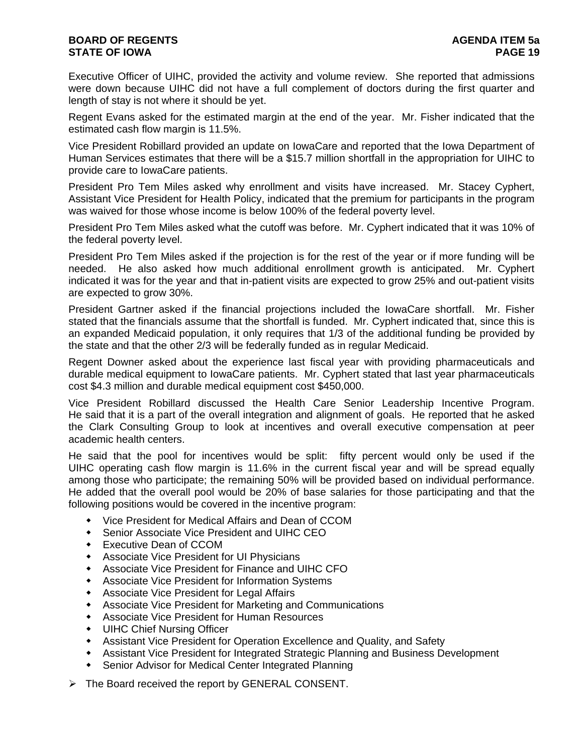# **BOARD OF REGENTS AGENER AGENERAL LIGHT AGENERAL LIGHT AGENERAL LIGHT AGENERAL LIGHT AGENERAL LIGHT AGENERAL LIG STATE OF IOWA PAGE 19**

Executive Officer of UIHC, provided the activity and volume review. She reported that admissions were down because UIHC did not have a full complement of doctors during the first quarter and length of stay is not where it should be yet.

Regent Evans asked for the estimated margin at the end of the year. Mr. Fisher indicated that the estimated cash flow margin is 11.5%.

Vice President Robillard provided an update on IowaCare and reported that the Iowa Department of Human Services estimates that there will be a \$15.7 million shortfall in the appropriation for UIHC to provide care to IowaCare patients.

President Pro Tem Miles asked why enrollment and visits have increased. Mr. Stacey Cyphert, Assistant Vice President for Health Policy, indicated that the premium for participants in the program was waived for those whose income is below 100% of the federal poverty level.

President Pro Tem Miles asked what the cutoff was before. Mr. Cyphert indicated that it was 10% of the federal poverty level.

President Pro Tem Miles asked if the projection is for the rest of the year or if more funding will be needed. He also asked how much additional enrollment growth is anticipated. Mr. Cyphert indicated it was for the year and that in-patient visits are expected to grow 25% and out-patient visits are expected to grow 30%.

President Gartner asked if the financial projections included the IowaCare shortfall. Mr. Fisher stated that the financials assume that the shortfall is funded. Mr. Cyphert indicated that, since this is an expanded Medicaid population, it only requires that 1/3 of the additional funding be provided by the state and that the other 2/3 will be federally funded as in regular Medicaid.

Regent Downer asked about the experience last fiscal year with providing pharmaceuticals and durable medical equipment to IowaCare patients. Mr. Cyphert stated that last year pharmaceuticals cost \$4.3 million and durable medical equipment cost \$450,000.

Vice President Robillard discussed the Health Care Senior Leadership Incentive Program. He said that it is a part of the overall integration and alignment of goals. He reported that he asked the Clark Consulting Group to look at incentives and overall executive compensation at peer academic health centers.

He said that the pool for incentives would be split: fifty percent would only be used if the UIHC operating cash flow margin is 11.6% in the current fiscal year and will be spread equally among those who participate; the remaining 50% will be provided based on individual performance. He added that the overall pool would be 20% of base salaries for those participating and that the following positions would be covered in the incentive program:

- Vice President for Medical Affairs and Dean of CCOM
- Senior Associate Vice President and UIHC CEO
- Executive Dean of CCOM
- Associate Vice President for UI Physicians
- Associate Vice President for Finance and UIHC CFO
- Associate Vice President for Information Systems
- Associate Vice President for Legal Affairs
- Associate Vice President for Marketing and Communications
- Associate Vice President for Human Resources
- UIHC Chief Nursing Officer
- Assistant Vice President for Operation Excellence and Quality, and Safety
- Assistant Vice President for Integrated Strategic Planning and Business Development
- Senior Advisor for Medical Center Integrated Planning
- ¾ The Board received the report by GENERAL CONSENT.